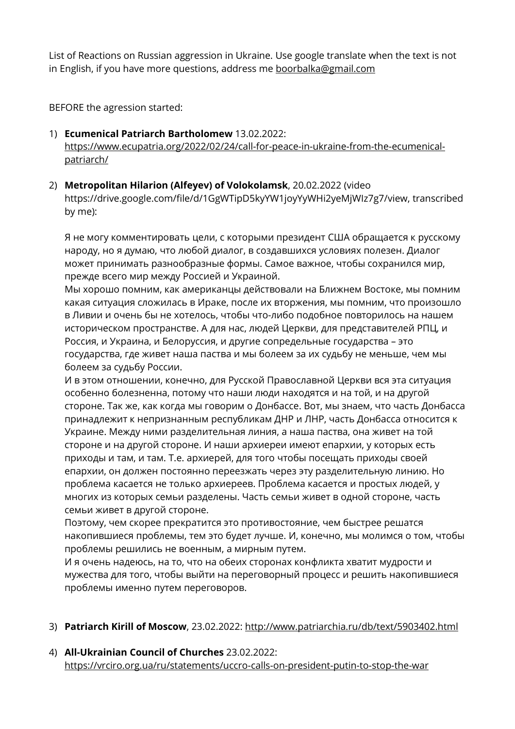List of Reactions on Russian aggression in Ukraine. Use google translate when the text is not in English, if you have more questions, address me [boorbalka@gmail.com](mailto:boorbalka@gmail.com)

BEFORE the agression started:

- 1) **Ecumenical Patriarch Bartholomew** 13.02.2022: [https://www.ecupatria.org/2022/02/24/call-for-peace-in-ukraine-from-the-ecumenical](https://www.ecupatria.org/2022/02/24/call-for-peace-in-ukraine-from-the-ecumenical-patriarch/)[patriarch/](https://www.ecupatria.org/2022/02/24/call-for-peace-in-ukraine-from-the-ecumenical-patriarch/)
- 2) **Metropolitan Hilarion (Alfeyev) of Volokolamsk**, 20.02.2022 (video https://drive.google.com/file/d/1GgWTipD5kyYW1joyYyWHi2yeMjWIz7g7/view, transcribed by me):

Я не могу комментировать цели, с которыми президент США обращается к русскому народу, но я думаю, что любой диалог, в создавшихся условиях полезен. Диалог может принимать разнообразные формы. Самое важное, чтобы сохранился мир, прежде всего мир между Россией и Украиной.

Мы хорошо помним, как американцы действовали на Ближнем Востоке, мы помним какая ситуация сложилась в Ираке, после их вторжения, мы помним, что произошло в Ливии и очень бы не хотелось, чтобы что-либо подобное повторилось на нашем историческом пространстве. А для нас, людей Церкви, для представителей РПЦ, и Россия, и Украина, и Белоруссия, и другие сопредельные государства – это государства, где живет наша паства и мы болеем за их судьбу не меньше, чем мы болеем за судьбу России.

И в этом отношении, конечно, для Русской Православной Церкви вся эта ситуация особенно болезненна, потому что наши люди находятся и на той, и на другой стороне. Так же, как когда мы говорим о Донбассе. Вот, мы знаем, что часть Донбасса принадлежит к непризнанным республикам ДНР и ЛНР, часть Донбасса относится к Украине. Между ними разделительная линия, а наша паства, она живет на той стороне и на другой стороне. И наши архиереи имеют епархии, у которых есть приходы и там, и там. Т.е. архиерей, для того чтобы посещать приходы своей епархии, он должен постоянно переезжать через эту разделительную линию. Но проблема касается не только архиереев. Проблема касается и простых людей, у многих из которых семьи разделены. Часть семьи живет в одной стороне, часть семьи живет в другой стороне.

Поэтому, чем скорее прекратится это противостояние, чем быстрее решатся накопившиеся проблемы, тем это будет лучше. И, конечно, мы молимся о том, чтобы проблемы решились не военным, а мирным путем.

И я очень надеюсь, на то, что на обеих сторонах конфликта хватит мудрости и мужества для того, чтобы выйти на переговорный процесс и решить накопившиеся проблемы именно путем переговоров.

#### 3) **Patriarch Kirill of Moscow**, 23.02.2022: <http://www.patriarchia.ru/db/text/5903402.html>

4) **All-Ukrainian Council of Churches** 23.02.2022: <https://vrciro.org.ua/ru/statements/uccro-calls-on-president-putin-to-stop-the-war>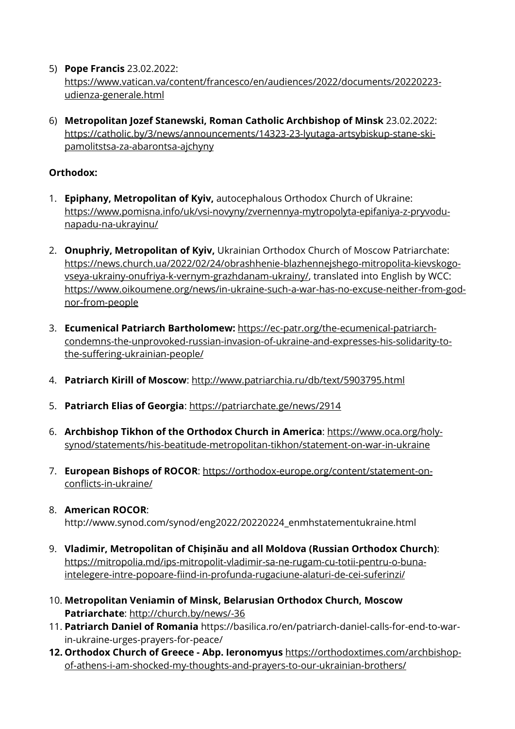- 5) **Pope Francis** 23.02.2022: [https://www.vatican.va/content/francesco/en/audiences/2022/documents/20220223](https://www.vatican.va/content/francesco/en/audiences/2022/documents/20220223-udienza-generale.html) [udienza-generale.html](https://www.vatican.va/content/francesco/en/audiences/2022/documents/20220223-udienza-generale.html)
- 6) **Metropolitan Jozef Stanewski, Roman Catholic Archbishop of Minsk** 23.02.2022: [https://catholic.by/3/news/announcements/14323-23-lyutaga-artsybiskup-stane-ski](https://catholic.by/3/news/announcements/14323-23-lyutaga-artsybiskup-stane-ski-pamolitstsa-za-abarontsa-ajchyny)[pamolitstsa-za-abarontsa-ajchyny](https://catholic.by/3/news/announcements/14323-23-lyutaga-artsybiskup-stane-ski-pamolitstsa-za-abarontsa-ajchyny)

# **Orthodox:**

- 1. **Epiphany, Metropolitan of Kyiv,** autocephalous Orthodox Church of Ukraine: [https://www.pomisna.info/uk/vsi-novyny/zvernennya-mytropolyta-epifaniya-z-pryvodu](https://www.pomisna.info/uk/vsi-novyny/zvernennya-mytropolyta-epifaniya-z-pryvodu-napadu-na-ukrayinu/)[napadu-na-ukrayinu/](https://www.pomisna.info/uk/vsi-novyny/zvernennya-mytropolyta-epifaniya-z-pryvodu-napadu-na-ukrayinu/)
- 2. **Onuphriy, Metropolitan of Kyiv,** Ukrainian Orthodox Church of Moscow Patriarchate: [https://news.church.ua/2022/02/24/obrashhenie-blazhennejshego-mitropolita-kievskogo](https://news.church.ua/2022/02/24/obrashhenie-blazhennejshego-mitropolita-kievskogo-vseya-ukrainy-onufriya-k-vernym-grazhdanam-ukrainy/)[vseya-ukrainy-onufriya-k-vernym-grazhdanam-ukrainy/,](https://news.church.ua/2022/02/24/obrashhenie-blazhennejshego-mitropolita-kievskogo-vseya-ukrainy-onufriya-k-vernym-grazhdanam-ukrainy/) translated into English by WCC: [https://www.oikoumene.org/news/in-ukraine-such-a-war-has-no-excuse-neither-from-god](https://www.oikoumene.org/news/in-ukraine-such-a-war-has-no-excuse-neither-from-god-nor-from-people)[nor-from-people](https://www.oikoumene.org/news/in-ukraine-such-a-war-has-no-excuse-neither-from-god-nor-from-people)
- 3. **Ecumenical Patriarch Bartholomew:** [https://ec-patr.org/the-ecumenical-patriarch](https://ec-patr.org/the-ecumenical-patriarch-condemns-the-unprovoked-russian-invasion-of-ukraine-and-expresses-his-solidarity-to-the-suffering-ukrainian-people/)[condemns-the-unprovoked-russian-invasion-of-ukraine-and-expresses-his-solidarity-to](https://ec-patr.org/the-ecumenical-patriarch-condemns-the-unprovoked-russian-invasion-of-ukraine-and-expresses-his-solidarity-to-the-suffering-ukrainian-people/)[the-suffering-ukrainian-people/](https://ec-patr.org/the-ecumenical-patriarch-condemns-the-unprovoked-russian-invasion-of-ukraine-and-expresses-his-solidarity-to-the-suffering-ukrainian-people/)
- 4. **Patriarch Kirill of Moscow**: <http://www.patriarchia.ru/db/text/5903795.html>
- 5. **Patriarch Elias of Georgia**: <https://patriarchate.ge/news/2914>
- 6. **Archbishop Tikhon of the Orthodox Church in America**: [https://www.oca.org/holy](https://www.oca.org/holy-synod/statements/his-beatitude-metropolitan-tikhon/statement-on-war-in-ukraine)[synod/statements/his-beatitude-metropolitan-tikhon/statement-on-war-in-ukraine](https://www.oca.org/holy-synod/statements/his-beatitude-metropolitan-tikhon/statement-on-war-in-ukraine)
- 7. **European Bishops of ROCOR**: [https://orthodox-europe.org/content/statement-on](https://orthodox-europe.org/content/statement-on-conflicts-in-ukraine/)[conflicts-in-ukraine/](https://orthodox-europe.org/content/statement-on-conflicts-in-ukraine/)
- 8. **American ROCOR**:

http://www.synod.com/synod/eng2022/20220224\_enmhstatementukraine.html

- 9. **Vladimir, Metropolitan of Chișinău and all Moldova (Russian Orthodox Church)**: [https://mitropolia.md/ips-mitropolit-vladimir-sa-ne-rugam-cu-totii-pentru-o-buna](https://mitropolia.md/ips-mitropolit-vladimir-sa-ne-rugam-cu-totii-pentru-o-buna-intelegere-intre-popoare-fiind-in-profunda-rugaciune-alaturi-de-cei-suferinzi/)[intelegere-intre-popoare-fiind-in-profunda-rugaciune-alaturi-de-cei-suferinzi/](https://mitropolia.md/ips-mitropolit-vladimir-sa-ne-rugam-cu-totii-pentru-o-buna-intelegere-intre-popoare-fiind-in-profunda-rugaciune-alaturi-de-cei-suferinzi/)
- 10. **Metropolitan Veniamin of Minsk, Belarusian Orthodox Church, Moscow Patriarchate**: <http://church.by/news/-36>
- 11. **Patriarch Daniel of Romania** https://basilica.ro/en/patriarch-daniel-calls-for-end-to-warin-ukraine-urges-prayers-for-peace/
- **12. Orthodox Church of Greece - Abp. Ieronomyus** [https://orthodoxtimes.com/archbishop](https://orthodoxtimes.com/archbishop-of-athens-i-am-shocked-my-thoughts-and-prayers-to-our-ukrainian-brothers/)[of-athens-i-am-shocked-my-thoughts-and-prayers-to-our-ukrainian-brothers/](https://orthodoxtimes.com/archbishop-of-athens-i-am-shocked-my-thoughts-and-prayers-to-our-ukrainian-brothers/)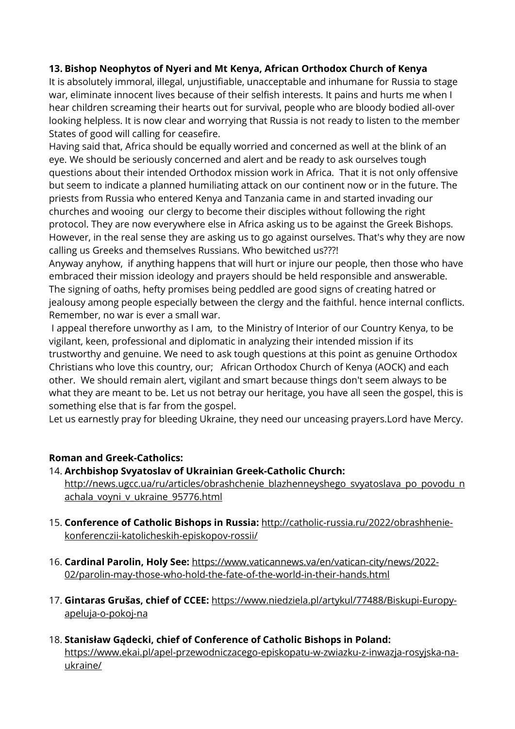# **13. Bishop Neophytos of Nyeri and Mt Kenya, African Orthodox Church of Kenya**

It is absolutely immoral, illegal, unjustifiable, unacceptable and inhumane for Russia to stage war, eliminate innocent lives because of their selfish interests. It pains and hurts me when I hear children screaming their hearts out for survival, people who are bloody bodied all-over looking helpless. It is now clear and worrying that Russia is not ready to listen to the member States of good will calling for ceasefire.

Having said that, Africa should be equally worried and concerned as well at the blink of an eye. We should be seriously concerned and alert and be ready to ask ourselves tough questions about their intended Orthodox mission work in Africa. That it is not only offensive but seem to indicate a planned humiliating attack on our continent now or in the future. The priests from Russia who entered Kenya and Tanzania came in and started invading our churches and wooing our clergy to become their disciples without following the right protocol. They are now everywhere else in Africa asking us to be against the Greek Bishops. However, in the real sense they are asking us to go against ourselves. That's why they are now calling us Greeks and themselves Russians. Who bewitched us???!

Anyway anyhow, if anything happens that will hurt or injure our people, then those who have embraced their mission ideology and prayers should be held responsible and answerable. The signing of oaths, hefty promises being peddled are good signs of creating hatred or jealousy among people especially between the clergy and the faithful. hence internal conflicts. Remember, no war is ever a small war.

I appeal therefore unworthy as I am, to the Ministry of Interior of our Country Kenya, to be vigilant, keen, professional and diplomatic in analyzing their intended mission if its trustworthy and genuine. We need to ask tough questions at this point as genuine Orthodox Christians who love this country, our; African Orthodox Church of Kenya (AOCK) and each other. We should remain alert, vigilant and smart because things don't seem always to be what they are meant to be. Let us not betray our heritage, you have all seen the gospel, this is something else that is far from the gospel.

Let us earnestly pray for bleeding Ukraine, they need our unceasing prayers.Lord have Mercy.

## **Roman and Greek-Catholics:**

## 14. **Archbishop Svyatoslav of Ukrainian Greek-Catholic Church:**

[http://news.ugcc.ua/ru/articles/obrashchenie\\_blazhenneyshego\\_svyatoslava\\_po\\_povodu\\_n](http://news.ugcc.ua/ru/articles/obrashchenie_blazhenneyshego_svyatoslava_po_povodu_nachala_voyni_v_ukraine_95776.html) [achala\\_voyni\\_v\\_ukraine\\_95776.html](http://news.ugcc.ua/ru/articles/obrashchenie_blazhenneyshego_svyatoslava_po_povodu_nachala_voyni_v_ukraine_95776.html)

- 15. **Conference of Catholic Bishops in Russia:** [http://catholic-russia.ru/2022/obrashhenie](http://catholic-russia.ru/2022/obrashhenie-konferenczii-katolicheskih-episkopov-rossii/)[konferenczii-katolicheskih-episkopov-rossii/](http://catholic-russia.ru/2022/obrashhenie-konferenczii-katolicheskih-episkopov-rossii/)
- 16. **Cardinal Parolin, Holy See:** [https://www.vaticannews.va/en/vatican-city/news/2022-](https://www.vaticannews.va/en/vatican-city/news/2022-02/parolin-may-those-who-hold-the-fate-of-the-world-in-their-hands.html) [02/parolin-may-those-who-hold-the-fate-of-the-world-in-their-hands.html](https://www.vaticannews.va/en/vatican-city/news/2022-02/parolin-may-those-who-hold-the-fate-of-the-world-in-their-hands.html)
- 17. **Gintaras Grušas, chief of CCEE:** [https://www.niedziela.pl/artykul/77488/Biskupi-Europy](https://www.niedziela.pl/artykul/77488/Biskupi-Europy-apeluja-o-pokoj-na)[apeluja-o-pokoj-na](https://www.niedziela.pl/artykul/77488/Biskupi-Europy-apeluja-o-pokoj-na)
- 18. **Stanisław Gądecki, chief of Conference of Catholic Bishops in Poland:** [https://www.ekai.pl/apel-przewodniczacego-episkopatu-w-zwiazku-z-inwazja-rosyjska-na](https://www.ekai.pl/apel-przewodniczacego-episkopatu-w-zwiazku-z-inwazja-rosyjska-na-ukraine/)[ukraine/](https://www.ekai.pl/apel-przewodniczacego-episkopatu-w-zwiazku-z-inwazja-rosyjska-na-ukraine/)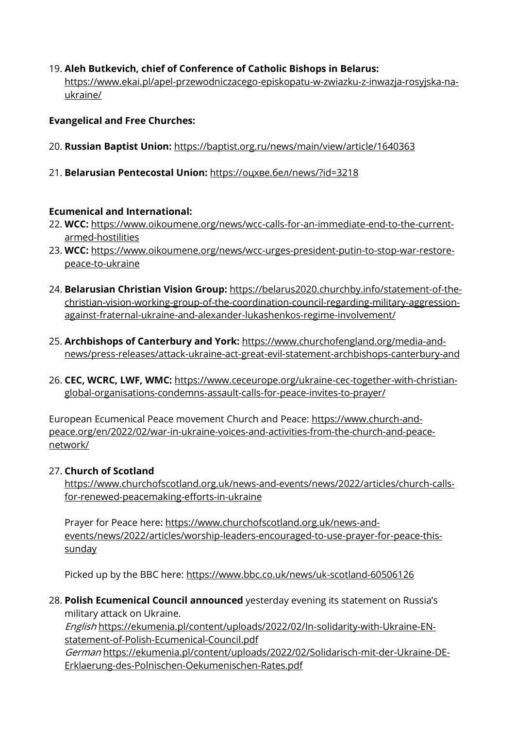# 19. **Aleh Butkevich, chief of Conference of Catholic Bishops in Belarus:**

[https://www.ekai.pl/apel-przewodniczacego-episkopatu-w-zwiazku-z-inwazja-rosyjska-na](https://www.ekai.pl/apel-przewodniczacego-episkopatu-w-zwiazku-z-inwazja-rosyjska-na-ukraine/)[ukraine/](https://www.ekai.pl/apel-przewodniczacego-episkopatu-w-zwiazku-z-inwazja-rosyjska-na-ukraine/)

### **Evangelical and Free Churches:**

- 20. **Russian Baptist Union:** <https://baptist.org.ru/news/main/view/article/1640363>
- 21. **Belarusian Pentecostal Union:** https://[оцхве.бел/news/](https://оцхве.бел/news/?id=3218)?id=3218

#### **Ecumenical and International:**

- 22. **WCC:** [https://www.oikoumene.org/news/wcc-calls-for-an-immediate-end-to-the-current](https://www.oikoumene.org/news/wcc-calls-for-an-immediate-end-to-the-current-armed-hostilities)[armed-hostilities](https://www.oikoumene.org/news/wcc-calls-for-an-immediate-end-to-the-current-armed-hostilities)
- 23. **WCC:** [https://www.oikoumene.org/news/wcc-urges-president-putin-to-stop-war-restore](https://www.oikoumene.org/news/wcc-urges-president-putin-to-stop-war-restore-peace-to-ukraine)[peace-to-ukraine](https://www.oikoumene.org/news/wcc-urges-president-putin-to-stop-war-restore-peace-to-ukraine)
- 24. **Belarusian Christian Vision Group:** [https://belarus2020.churchby.info/statement-of-the](https://belarus2020.churchby.info/statement-of-the-christian-vision-working-group-of-the-coordination-council-regarding-military-aggression-against-fraternal-ukraine-and-alexander-lukashenkos-regime-involvement/)[christian-vision-working-group-of-the-coordination-council-regarding-military-aggression](https://belarus2020.churchby.info/statement-of-the-christian-vision-working-group-of-the-coordination-council-regarding-military-aggression-against-fraternal-ukraine-and-alexander-lukashenkos-regime-involvement/)[against-fraternal-ukraine-and-alexander-lukashenkos-regime-involvement/](https://belarus2020.churchby.info/statement-of-the-christian-vision-working-group-of-the-coordination-council-regarding-military-aggression-against-fraternal-ukraine-and-alexander-lukashenkos-regime-involvement/)
- 25. **Archbishops of Canterbury and York:** [https://www.churchofengland.org/media-and](https://www.churchofengland.org/media-and-news/press-releases/attack-ukraine-act-great-evil-statement-archbishops-canterbury-and)[news/press-releases/attack-ukraine-act-great-evil-statement-archbishops-canterbury-and](https://www.churchofengland.org/media-and-news/press-releases/attack-ukraine-act-great-evil-statement-archbishops-canterbury-and)
- 26. **CEC, WCRC, LWF, WMC:** [https://www.ceceurope.org/ukraine-cec-together-with-christian](https://www.ceceurope.org/ukraine-cec-together-with-christian-global-organisations-condemns-assault-calls-for-peace-invites-to-prayer/)[global-organisations-condemns-assault-calls-for-peace-invites-to-prayer/](https://www.ceceurope.org/ukraine-cec-together-with-christian-global-organisations-condemns-assault-calls-for-peace-invites-to-prayer/)

European Ecumenical Peace movement Church and Peace: [https://www.church-and](https://www.church-and-peace.org/en/2022/02/war-in-ukraine-voices-and-activities-from-the-church-and-peace-network/)[peace.org/en/2022/02/war-in-ukraine-voices-and-activities-from-the-church-and-peace](https://www.church-and-peace.org/en/2022/02/war-in-ukraine-voices-and-activities-from-the-church-and-peace-network/)[network/](https://www.church-and-peace.org/en/2022/02/war-in-ukraine-voices-and-activities-from-the-church-and-peace-network/)

#### 27. **Church of Scotland**

[https://www.churchofscotland.org.uk/news-and-events/news/2022/articles/church-calls](https://www.churchofscotland.org.uk/news-and-events/news/2022/articles/church-calls-for-renewed-peacemaking-efforts-in-ukraine)[for-renewed-peacemaking-efforts-in-ukraine](https://www.churchofscotland.org.uk/news-and-events/news/2022/articles/church-calls-for-renewed-peacemaking-efforts-in-ukraine)

Prayer for Peace here: [https://www.churchofscotland.org.uk/news-and](https://www.churchofscotland.org.uk/news-and-events/news/2022/articles/worship-leaders-encouraged-to-use-prayer-for-peace-this-sunday)[events/news/2022/articles/worship-leaders-encouraged-to-use-prayer-for-peace-this](https://www.churchofscotland.org.uk/news-and-events/news/2022/articles/worship-leaders-encouraged-to-use-prayer-for-peace-this-sunday)[sunday](https://www.churchofscotland.org.uk/news-and-events/news/2022/articles/worship-leaders-encouraged-to-use-prayer-for-peace-this-sunday)

Picked up by the BBC here: <https://www.bbc.co.uk/news/uk-scotland-60506126>

28. **Polish Ecumenical Council announced** yesterday evening its statement on Russia's military attack on Ukraine.

English [https://ekumenia.pl/content/uploads/2022/02/In-solidarity-with-Ukraine-EN](https://ekumenia.pl/content/uploads/2022/02/In-solidarity-with-Ukraine-EN-statement-of-Polish-Ecumenical-Council.pdf)[statement-of-Polish-Ecumenical-Council.pdf](https://ekumenia.pl/content/uploads/2022/02/In-solidarity-with-Ukraine-EN-statement-of-Polish-Ecumenical-Council.pdf)

German [https://ekumenia.pl/content/uploads/2022/02/Solidarisch-mit-der-Ukraine-DE-](https://ekumenia.pl/content/uploads/2022/02/Solidarisch-mit-der-Ukraine-DE-Erklaerung-des-Polnischen-Oekumenischen-Rates.pdf)[Erklaerung-des-Polnischen-Oekumenischen-Rates.pdf](https://ekumenia.pl/content/uploads/2022/02/Solidarisch-mit-der-Ukraine-DE-Erklaerung-des-Polnischen-Oekumenischen-Rates.pdf)